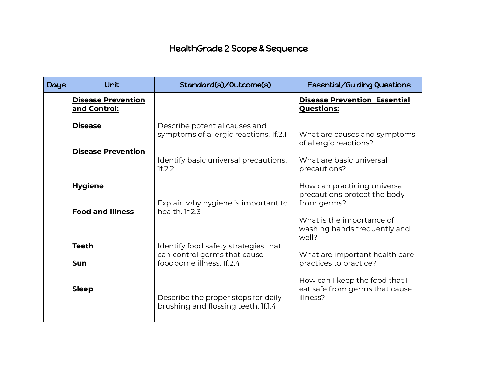## HealthGrade 2 Scope & Sequence

| <b>Days</b> | Unit                                      | Standard(s)/Outcome(s)                                                                            | <b>Essential/Guiding Questions</b>                                           |
|-------------|-------------------------------------------|---------------------------------------------------------------------------------------------------|------------------------------------------------------------------------------|
|             | <b>Disease Prevention</b><br>and Control: |                                                                                                   | <b>Disease Prevention Essential</b><br><b>Questions:</b>                     |
|             | <b>Disease</b>                            | Describe potential causes and<br>symptoms of allergic reactions. If.2.1                           | What are causes and symptoms<br>of allergic reactions?                       |
|             | <b>Disease Prevention</b>                 | Identify basic universal precautions.<br>1f.2.2                                                   | What are basic universal<br>precautions?                                     |
|             | <b>Hygiene</b>                            | Explain why hygiene is important to                                                               | How can practicing universal<br>precautions protect the body<br>from germs?  |
|             | <b>Food and Illness</b>                   | health. If.2.3                                                                                    | What is the importance of<br>washing hands frequently and<br>well?           |
|             | <b>Teeth</b><br>Sun                       | Identify food safety strategies that<br>can control germs that cause<br>foodborne illness. 1f.2.4 | What are important health care<br>practices to practice?                     |
|             | <b>Sleep</b>                              | Describe the proper steps for daily<br>brushing and flossing teeth. If.1.4                        | How can I keep the food that I<br>eat safe from germs that cause<br>illness? |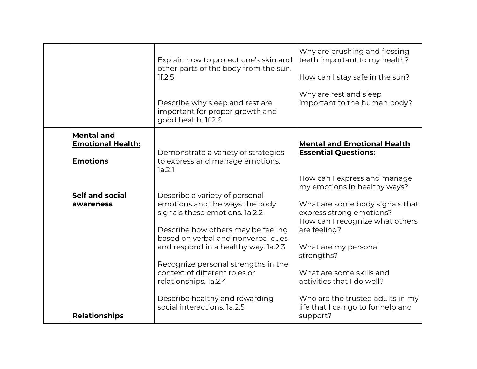|                                                                  | Explain how to protect one's skin and<br>other parts of the body from the sun.<br>1f.2.5<br>Describe why sleep and rest are<br>important for proper growth and<br>good health. If.2.6                                                                                                                                                                                                    | Why are brushing and flossing<br>teeth important to my health?<br>How can I stay safe in the sun?<br>Why are rest and sleep<br>important to the human body?                                                                                                                              |
|------------------------------------------------------------------|------------------------------------------------------------------------------------------------------------------------------------------------------------------------------------------------------------------------------------------------------------------------------------------------------------------------------------------------------------------------------------------|------------------------------------------------------------------------------------------------------------------------------------------------------------------------------------------------------------------------------------------------------------------------------------------|
| <b>Mental and</b><br><b>Emotional Health:</b><br><b>Emotions</b> | Demonstrate a variety of strategies<br>to express and manage emotions.<br>1a.2.1                                                                                                                                                                                                                                                                                                         | <b>Mental and Emotional Health</b><br><b>Essential Questions:</b><br>How can I express and manage<br>my emotions in healthy ways?                                                                                                                                                        |
| <b>Self and social</b><br>awareness                              | Describe a variety of personal<br>emotions and the ways the body<br>signals these emotions. la.2.2<br>Describe how others may be feeling<br>based on verbal and nonverbal cues<br>and respond in a healthy way. la.2.3<br>Recognize personal strengths in the<br>context of different roles or<br>relationships. la.2.4<br>Describe healthy and rewarding<br>social interactions. 1a.2.5 | What are some body signals that<br>express strong emotions?<br>How can I recognize what others<br>are feeling?<br>What are my personal<br>strengths?<br>What are some skills and<br>activities that I do well?<br>Who are the trusted adults in my<br>life that I can go to for help and |
| <b>Relationships</b>                                             |                                                                                                                                                                                                                                                                                                                                                                                          | support?                                                                                                                                                                                                                                                                                 |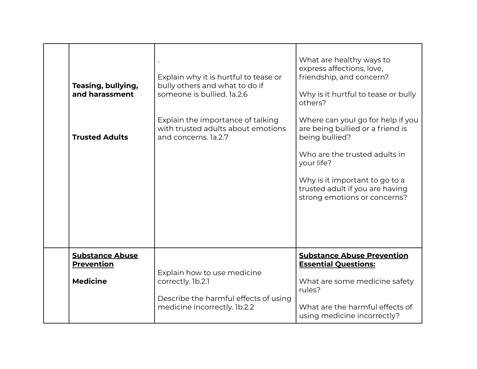| Teasing, bullying,<br>and harassment<br><b>Trusted Adults</b>  | Explain why it is hurtful to tease or<br>bully others and what to do if<br>someone is bullied. la.2.6<br>Explain the importance of talking<br>with trusted adults about emotions<br>and concerns. 1a.2.7 | What are healthy ways to<br>express affections, love,<br>friendship, and concern?<br>Why is it hurtful to tease or bully<br>others?<br>Where can youl go for help if you<br>are being bullied or a friend is<br>being bullied?<br>Who are the trusted adults in<br>your life?<br>Why is it important to go to a<br>trusted adult if you are having<br>strong emotions or concerns? |
|----------------------------------------------------------------|----------------------------------------------------------------------------------------------------------------------------------------------------------------------------------------------------------|------------------------------------------------------------------------------------------------------------------------------------------------------------------------------------------------------------------------------------------------------------------------------------------------------------------------------------------------------------------------------------|
| <b>Substance Abuse</b><br><b>Prevention</b><br><b>Medicine</b> | Explain how to use medicine<br>correctly. 1b.2.1<br>Describe the harmful effects of using<br>medicine incorrectly. 1b.2.2                                                                                | <b>Substance Abuse Prevention</b><br><b>Essential Questions:</b><br>What are some medicine safety<br>rules?<br>What are the harmful effects of<br>using medicine incorrectly?                                                                                                                                                                                                      |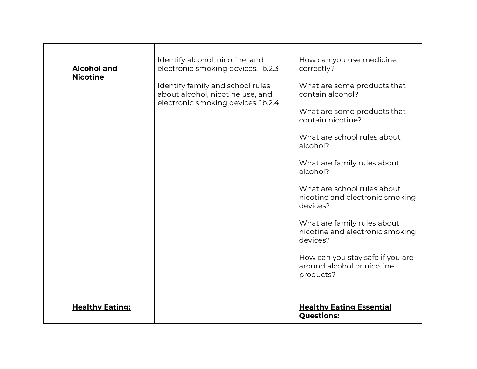| <b>Nicotine</b> | <b>Alcohol and</b>     | Identify alcohol, nicotine, and<br>electronic smoking devices. 1b.2.3<br>Identify family and school rules<br>about alcohol, nicotine use, and<br>electronic smoking devices. 1b.2.4 | How can you use medicine<br>correctly?<br>What are some products that<br>contain alcohol?<br>What are some products that<br>contain nicotine?<br>What are school rules about<br>alcohol?<br>What are family rules about<br>alcohol?<br>What are school rules about<br>nicotine and electronic smoking<br>devices?<br>What are family rules about<br>nicotine and electronic smoking<br>devices?<br>How can you stay safe if you are<br>around alcohol or nicotine<br>products? |
|-----------------|------------------------|-------------------------------------------------------------------------------------------------------------------------------------------------------------------------------------|--------------------------------------------------------------------------------------------------------------------------------------------------------------------------------------------------------------------------------------------------------------------------------------------------------------------------------------------------------------------------------------------------------------------------------------------------------------------------------|
|                 | <b>Healthy Eating:</b> |                                                                                                                                                                                     | <b>Healthy Eating Essential</b><br><b>Questions:</b>                                                                                                                                                                                                                                                                                                                                                                                                                           |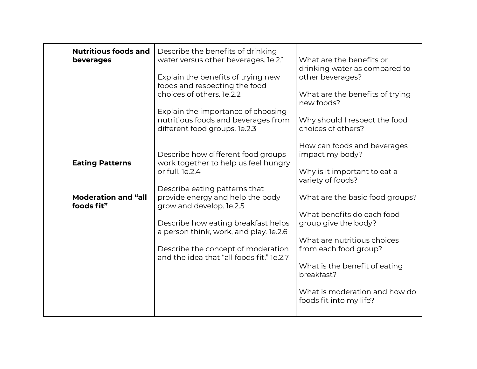| <b>Nutritious foods and</b><br>beverages                           | Describe the benefits of drinking<br>water versus other beverages. 1e.2.1<br>Explain the benefits of trying new<br>foods and respecting the food<br>choices of others, 1e.2.2<br>Explain the importance of choosing<br>nutritious foods and beverages from<br>different food groups. le.2.3                                                                        | What are the benefits or<br>drinking water as compared to<br>other beverages?<br>What are the benefits of trying<br>new foods?<br>Why should I respect the food<br>choices of others?                                                                                                                                                                           |
|--------------------------------------------------------------------|--------------------------------------------------------------------------------------------------------------------------------------------------------------------------------------------------------------------------------------------------------------------------------------------------------------------------------------------------------------------|-----------------------------------------------------------------------------------------------------------------------------------------------------------------------------------------------------------------------------------------------------------------------------------------------------------------------------------------------------------------|
| <b>Eating Patterns</b><br><b>Moderation and "all</b><br>foods fit" | Describe how different food groups<br>work together to help us feel hungry<br>or full. le.2.4<br>Describe eating patterns that<br>provide energy and help the body<br>grow and develop. le.2.5<br>Describe how eating breakfast helps<br>a person think, work, and play. le.2.6<br>Describe the concept of moderation<br>and the idea that "all foods fit." le.2.7 | How can foods and beverages<br>impact my body?<br>Why is it important to eat a<br>variety of foods?<br>What are the basic food groups?<br>What benefits do each food<br>group give the body?<br>What are nutritious choices<br>from each food group?<br>What is the benefit of eating<br>breakfast?<br>What is moderation and how do<br>foods fit into my life? |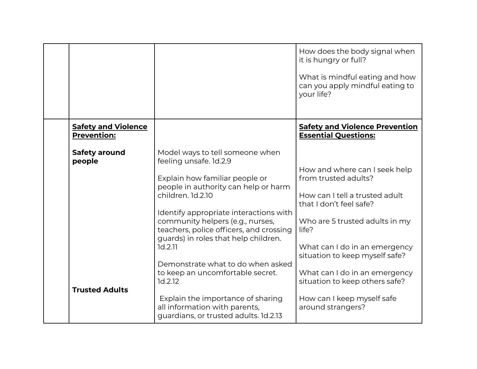|                                                  |                                                                                                                                                                                                                                                                                                                                                                           | How does the body signal when<br>it is hungry or full?<br>What is mindful eating and how<br>can you apply mindful eating to<br>your life?                                                                                        |
|--------------------------------------------------|---------------------------------------------------------------------------------------------------------------------------------------------------------------------------------------------------------------------------------------------------------------------------------------------------------------------------------------------------------------------------|----------------------------------------------------------------------------------------------------------------------------------------------------------------------------------------------------------------------------------|
| <b>Safety and Violence</b><br><b>Prevention:</b> |                                                                                                                                                                                                                                                                                                                                                                           | <b>Safety and Violence Prevention</b><br><b>Essential Questions:</b>                                                                                                                                                             |
| <b>Safety around</b><br>people                   | Model ways to tell someone when<br>feeling unsafe. 1d.2.9<br>Explain how familiar people or<br>people in authority can help or harm<br>children. 1d.2.10<br>Identify appropriate interactions with<br>community helpers (e.g., nurses,<br>teachers, police officers, and crossing<br>guards) in roles that help children.<br>1d.2.11<br>Demonstrate what to do when asked | How and where can I seek help<br>from trusted adults?<br>How can I tell a trusted adult<br>that I don't feel safe?<br>Who are 5 trusted adults in my<br>life?<br>What can I do in an emergency<br>situation to keep myself safe? |
| <b>Trusted Adults</b>                            | to keep an uncomfortable secret.<br>1d.2.12<br>Explain the importance of sharing<br>all information with parents,<br>guardians, or trusted adults. 1d.2.13                                                                                                                                                                                                                | What can I do in an emergency<br>situation to keep others safe?<br>How can I keep myself safe<br>around strangers?                                                                                                               |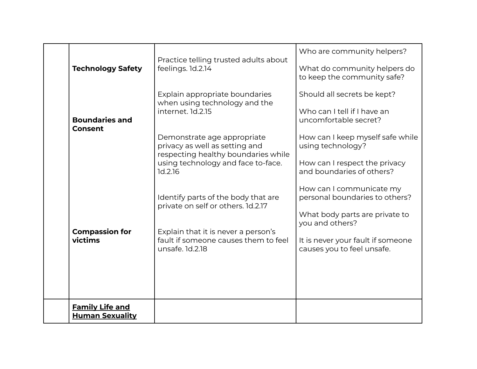|  | <b>Technology Safety</b>                         | Practice telling trusted adults about<br>feelings. 1d.2.14                                                                                            | Who are community helpers?<br>What do community helpers do<br>to keep the community safe?                           |
|--|--------------------------------------------------|-------------------------------------------------------------------------------------------------------------------------------------------------------|---------------------------------------------------------------------------------------------------------------------|
|  | <b>Boundaries and</b><br><b>Consent</b>          | Explain appropriate boundaries<br>when using technology and the<br>internet. 1d.2.15                                                                  | Should all secrets be kept?<br>Who can I tell if I have an<br>uncomfortable secret?                                 |
|  |                                                  | Demonstrate age appropriate<br>privacy as well as setting and<br>respecting healthy boundaries while<br>using technology and face to-face.<br>1d.2.16 | How can I keep myself safe while<br>using technology?<br>How can I respect the privacy<br>and boundaries of others? |
|  |                                                  | Identify parts of the body that are<br>private on self or others. 1d.2.17                                                                             | How can I communicate my<br>personal boundaries to others?<br>What body parts are private to<br>you and others?     |
|  | <b>Compassion for</b><br>victims                 | Explain that it is never a person's<br>fault if someone causes them to feel<br>unsafe. 1d.2.18                                                        | It is never your fault if someone<br>causes you to feel unsafe.                                                     |
|  | <b>Family Life and</b><br><b>Human Sexuality</b> |                                                                                                                                                       |                                                                                                                     |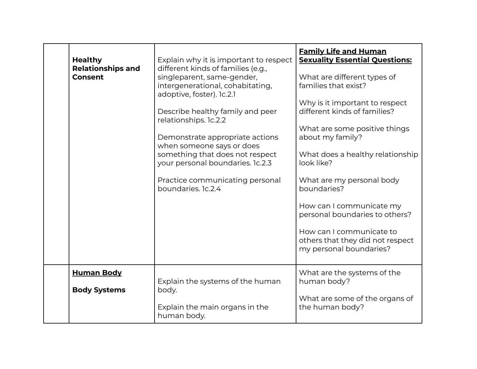| <b>Healthy</b><br><b>Relationships and</b><br><b>Consent</b> | Explain why it is important to respect<br>different kinds of families (e.g.,<br>singleparent, same-gender,<br>intergenerational, cohabitating,<br>adoptive, foster). 1c.2.1<br>Describe healthy family and peer<br>relationships. 1c.2.2<br>Demonstrate appropriate actions<br>when someone says or does<br>something that does not respect<br>your personal boundaries. 1c.2.3<br>Practice communicating personal<br>boundaries. 1c.2.4 | <b>Family Life and Human</b><br><b>Sexuality Essential Questions:</b><br>What are different types of<br>families that exist?<br>Why is it important to respect<br>different kinds of families?<br>What are some positive things<br>about my family?<br>What does a healthy relationship<br>look like?<br>What are my personal body<br>boundaries? |
|--------------------------------------------------------------|------------------------------------------------------------------------------------------------------------------------------------------------------------------------------------------------------------------------------------------------------------------------------------------------------------------------------------------------------------------------------------------------------------------------------------------|---------------------------------------------------------------------------------------------------------------------------------------------------------------------------------------------------------------------------------------------------------------------------------------------------------------------------------------------------|
|                                                              |                                                                                                                                                                                                                                                                                                                                                                                                                                          | personal boundaries to others?<br>How can I communicate to<br>others that they did not respect<br>my personal boundaries?                                                                                                                                                                                                                         |
| <b>Human Body</b><br><b>Body Systems</b>                     | Explain the systems of the human<br>body.<br>Explain the main organs in the<br>human body.                                                                                                                                                                                                                                                                                                                                               | What are the systems of the<br>human body?<br>What are some of the organs of<br>the human body?                                                                                                                                                                                                                                                   |